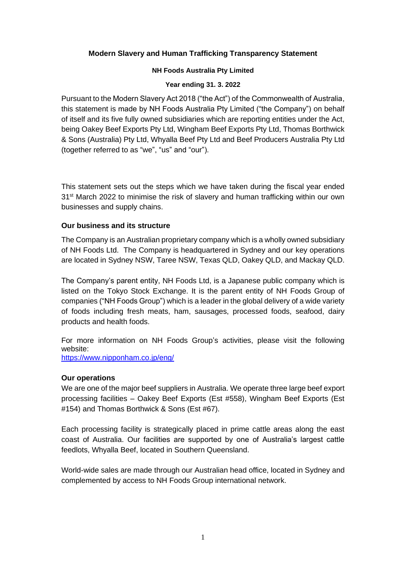# **Modern Slavery and Human Trafficking Transparency Statement**

#### **NH Foods Australia Pty Limited**

#### **Year ending 31. 3. 2022**

Pursuant to the Modern Slavery Act 2018 ("the Act") of the Commonwealth of Australia, this statement is made by NH Foods Australia Pty Limited ("the Company") on behalf of itself and its five fully owned subsidiaries which are reporting entities under the Act, being Oakey Beef Exports Pty Ltd, Wingham Beef Exports Pty Ltd, Thomas Borthwick & Sons (Australia) Pty Ltd, Whyalla Beef Pty Ltd and Beef Producers Australia Pty Ltd (together referred to as "we", "us" and "our").

This statement sets out the steps which we have taken during the fiscal year ended 31st March 2022 to minimise the risk of slavery and human trafficking within our own businesses and supply chains.

# **Our business and its structure**

The Company is an Australian proprietary company which is a wholly owned subsidiary of NH Foods Ltd. The Company is headquartered in Sydney and our key operations are located in Sydney NSW, Taree NSW, Texas QLD, Oakey QLD, and Mackay QLD.

The Company's parent entity, NH Foods Ltd, is a Japanese public company which is listed on the Tokyo Stock Exchange. It is the parent entity of NH Foods Group of companies ("NH Foods Group") which is a leader in the global delivery of a wide variety of foods including fresh meats, ham, sausages, processed foods, seafood, dairy products and health foods.

For more information on NH Foods Group's activities, please visit the following website: <https://www.nipponham.co.jp/eng/>

## **Our operations**

We are one of the major beef suppliers in Australia. We operate three large beef export processing facilities – Oakey Beef Exports (Est #558), Wingham Beef Exports (Est #154) and Thomas Borthwick & Sons (Est #67).

Each processing facility is strategically placed in prime cattle areas along the east coast of Australia. Our facilities are supported by one of Australia's largest cattle feedlots, Whyalla Beef, located in Southern Queensland.

World-wide sales are made through our Australian head office, located in Sydney and complemented by access to NH Foods Group international network.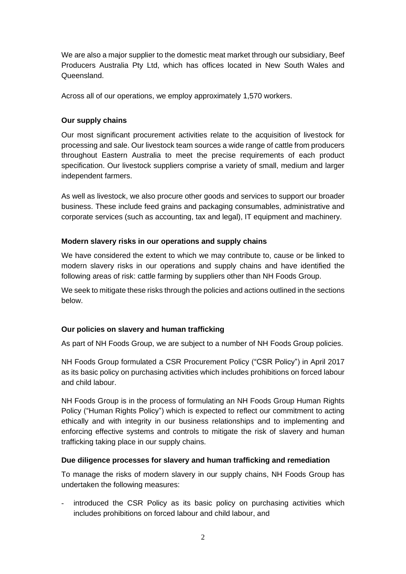We are also a major supplier to the domestic meat market through our subsidiary, Beef Producers Australia Pty Ltd, which has offices located in New South Wales and Queensland.

Across all of our operations, we employ approximately 1,570 workers.

# **Our supply chains**

Our most significant procurement activities relate to the acquisition of livestock for processing and sale. Our livestock team sources a wide range of cattle from producers throughout Eastern Australia to meet the precise requirements of each product specification. Our livestock suppliers comprise a variety of small, medium and larger independent farmers.

As well as livestock, we also procure other goods and services to support our broader business. These include feed grains and packaging consumables, administrative and corporate services (such as accounting, tax and legal), IT equipment and machinery.

## **Modern slavery risks in our operations and supply chains**

We have considered the extent to which we may contribute to, cause or be linked to modern slavery risks in our operations and supply chains and have identified the following areas of risk: cattle farming by suppliers other than NH Foods Group.

We seek to mitigate these risks through the policies and actions outlined in the sections below.

# **Our policies on slavery and human trafficking**

As part of NH Foods Group, we are subject to a number of NH Foods Group policies.

NH Foods Group formulated a CSR Procurement Policy ("CSR Policy") in April 2017 as its basic policy on purchasing activities which includes prohibitions on forced labour and child labour.

NH Foods Group is in the process of formulating an NH Foods Group Human Rights Policy ("Human Rights Policy") which is expected to reflect our commitment to acting ethically and with integrity in our business relationships and to implementing and enforcing effective systems and controls to mitigate the risk of slavery and human trafficking taking place in our supply chains.

## **Due diligence processes for slavery and human trafficking and remediation**

To manage the risks of modern slavery in our supply chains, NH Foods Group has undertaken the following measures:

- introduced the CSR Policy as its basic policy on purchasing activities which includes prohibitions on forced labour and child labour, and